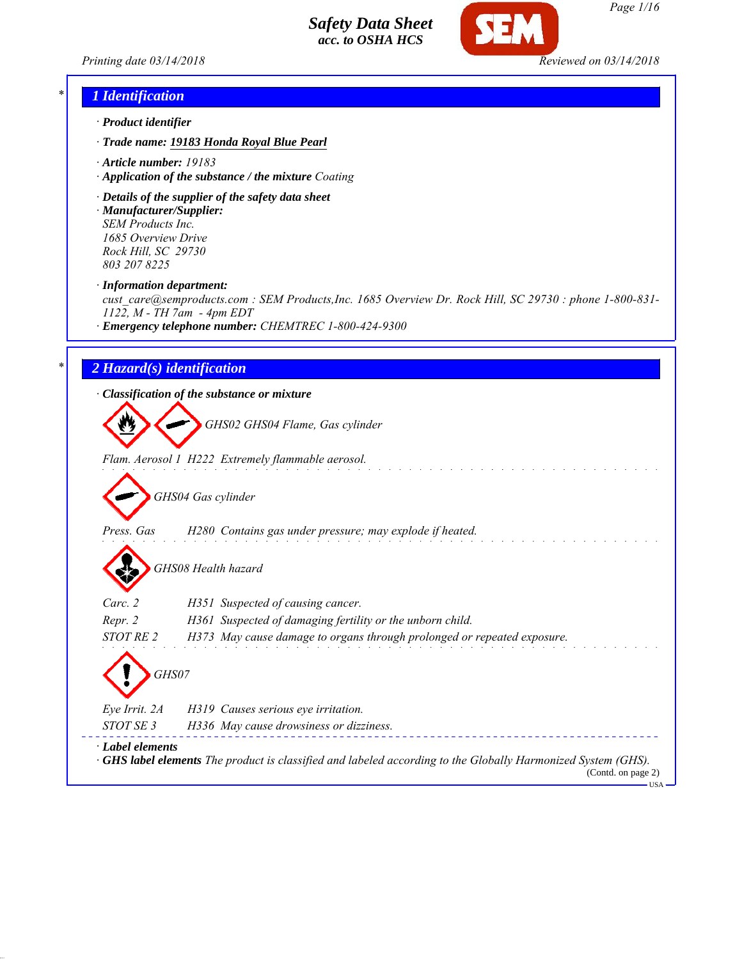



## *\* 1 Identification*

- *· Product identifier*
- *· Trade name: 19183 Honda Royal Blue Pearl*
- *· Article number: 19183*
- *· Application of the substance / the mixture Coating*
- *· Details of the supplier of the safety data sheet · Manufacturer/Supplier: SEM Products Inc.*

*1685 Overview Drive Rock Hill, SC 29730 803 207 8225*

*· Information department:*

*cust\_care@semproducts.com : SEM Products,Inc. 1685 Overview Dr. Rock Hill, SC 29730 : phone 1-800-831- 1122, M - TH 7am - 4pm EDT*

*· Emergency telephone number: CHEMTREC 1-800-424-9300*

#### *\* 2 Hazard(s) identification*

*· Classification of the substance or mixture*

*GHS02 GHS04 Flame, Gas cylinder*

*Flam. Aerosol 1 H222 Extremely flammable aerosol.*

*GHS04 Gas cylinder*

*Press. Gas H280 Contains gas under pressure; may explode if heated.*

*GHS08 Health hazard*

| $\mathbf{v}$     |                                                                                                                                           |  |
|------------------|-------------------------------------------------------------------------------------------------------------------------------------------|--|
| Carc. 2          | H351 Suspected of causing cancer.                                                                                                         |  |
| Repr. 2          | H361 Suspected of damaging fertility or the unborn child.                                                                                 |  |
| STOT RE 2        | H373 May cause damage to organs through prolonged or repeated exposure.                                                                   |  |
| Eye Irrit. 2A    | <i>GHS07</i><br>H319 Causes serious eye irritation.                                                                                       |  |
|                  |                                                                                                                                           |  |
| STOT SE 3        | H336 May cause drowsiness or dizziness.                                                                                                   |  |
| · Label elements | $\cdot$ GHS label elements The product is classified and labeled according to the Globally Harmonized System (GHS).<br>(Contd. on page 2) |  |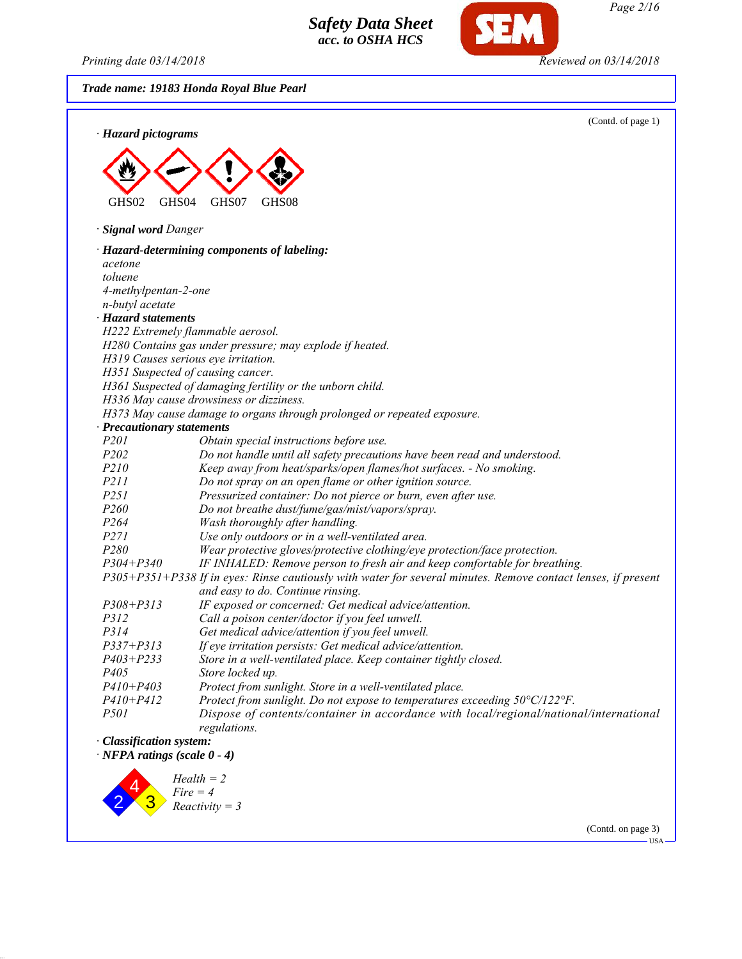*Printing date 03/14/2018 Reviewed on 03/14/2018*

SEM

*Trade name: 19183 Honda Royal Blue Pearl*

| · Hazard pictograms                   | (Contd. of page 1)                                                                                            |
|---------------------------------------|---------------------------------------------------------------------------------------------------------------|
|                                       |                                                                                                               |
|                                       |                                                                                                               |
| GHS <sub>04</sub><br>GHS02            | GHS07<br>GHS08                                                                                                |
| · Signal word Danger                  |                                                                                                               |
|                                       | · Hazard-determining components of labeling:                                                                  |
| acetone                               |                                                                                                               |
| toluene                               |                                                                                                               |
| 4-methylpentan-2-one                  |                                                                                                               |
| n-butyl acetate                       |                                                                                                               |
| · Hazard statements                   |                                                                                                               |
|                                       | H222 Extremely flammable aerosol.                                                                             |
|                                       | H280 Contains gas under pressure; may explode if heated.                                                      |
|                                       | H319 Causes serious eye irritation.                                                                           |
|                                       | H351 Suspected of causing cancer.                                                                             |
|                                       | H361 Suspected of damaging fertility or the unborn child.<br>H336 May cause drowsiness or dizziness.          |
|                                       | H373 May cause damage to organs through prolonged or repeated exposure.                                       |
| · Precautionary statements            |                                                                                                               |
| P <sub>201</sub>                      | Obtain special instructions before use.                                                                       |
| P202                                  | Do not handle until all safety precautions have been read and understood.                                     |
| P210                                  | Keep away from heat/sparks/open flames/hot surfaces. - No smoking.                                            |
| P211                                  | Do not spray on an open flame or other ignition source.                                                       |
| P <sub>251</sub>                      | Pressurized container: Do not pierce or burn, even after use.                                                 |
| P260                                  | Do not breathe dust/fume/gas/mist/vapors/spray.                                                               |
| P264                                  | Wash thoroughly after handling.                                                                               |
| P271                                  | Use only outdoors or in a well-ventilated area.                                                               |
| P280                                  | Wear protective gloves/protective clothing/eye protection/face protection.                                    |
| $P304 + P340$                         | IF INHALED: Remove person to fresh air and keep comfortable for breathing.                                    |
|                                       | P305+P351+P338 If in eyes: Rinse cautiously with water for several minutes. Remove contact lenses, if present |
|                                       | and easy to do. Continue rinsing.                                                                             |
| $P308 + P313$                         | IF exposed or concerned: Get medical advice/attention.                                                        |
| P312                                  | Call a poison center/doctor if you feel unwell.                                                               |
| P314                                  | Get medical advice/attention if you feel unwell.                                                              |
| P337+P313                             | If eye irritation persists: Get medical advice/attention.                                                     |
| $P403 + P233$                         | Store in a well-ventilated place. Keep container tightly closed.                                              |
| P <sub>405</sub>                      | Store locked up.                                                                                              |
| $P410 + P403$                         | Protect from sunlight. Store in a well-ventilated place.                                                      |
| $P410 + P412$<br>P501                 | Protect from sunlight. Do not expose to temperatures exceeding 50°C/122°F.                                    |
|                                       | Dispose of contents/container in accordance with local/regional/national/international<br>regulations.        |
| · Classification system:              |                                                                                                               |
| $\cdot$ NFPA ratings (scale $0 - 4$ ) |                                                                                                               |
|                                       |                                                                                                               |
|                                       | $Health = 2$                                                                                                  |
|                                       | $Fire = 4$                                                                                                    |

 $\begin{array}{c} \mathbf{3} \\ \mathbf{3} \end{array}$  *Fire = 4 Reactivity = 3*

2

(Contd. on page 3)  $-<sup>USA</sup>$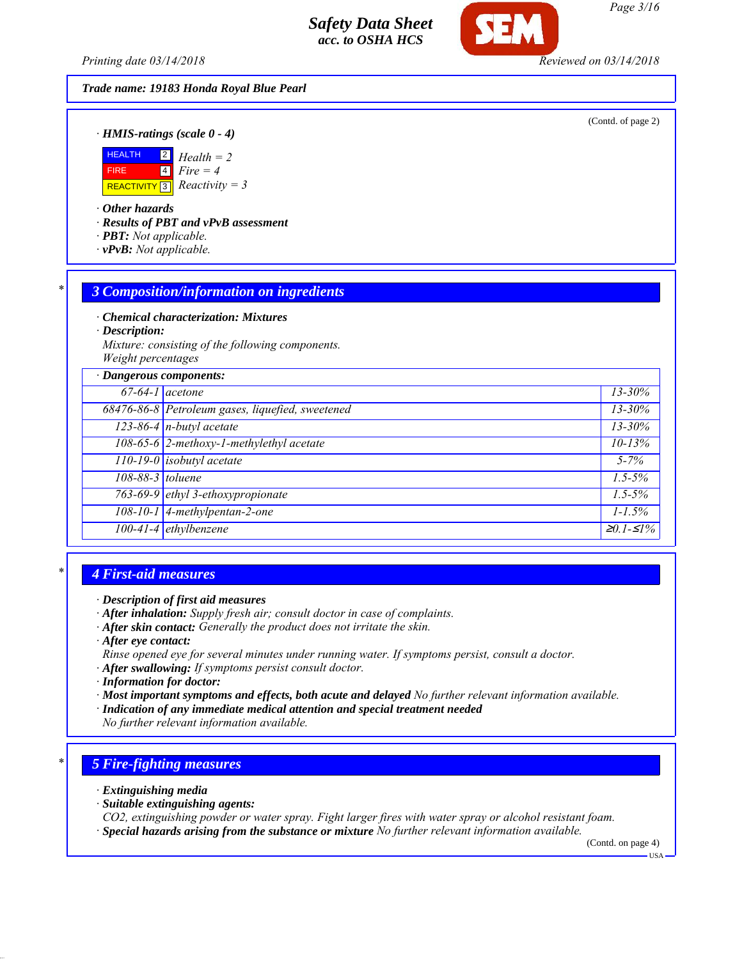*Printing date 03/14/2018 Reviewed on 03/14/2018*

#### *Trade name: 19183 Honda Royal Blue Pearl*

(Contd. of page 2)

*· HMIS-ratings (scale 0 - 4)*



*· Other hazards*

*· Results of PBT and vPvB assessment*

- *· PBT: Not applicable.*
- *· vPvB: Not applicable.*

#### *\* 3 Composition/information on ingredients*

*· Chemical characterization: Mixtures*

*· Description:*

*Mixture: consisting of the following components. Weight percentages*

| · Dangerous components:<br>$13 - 30\%$ |                                                  |                   |  |  |
|----------------------------------------|--------------------------------------------------|-------------------|--|--|
| $67-64-1$ acetone                      |                                                  |                   |  |  |
|                                        | 68476-86-8 Petroleum gases, liquefied, sweetened |                   |  |  |
|                                        | $123-86-4$ n-butyl acetate                       | 13-30%            |  |  |
|                                        | 108-65-6 2-methoxy-1-methylethyl acetate         | $10 - 13%$        |  |  |
|                                        | $110-19-0$ isobutyl acetate                      | $5 - 7\%$         |  |  |
| 108-88-3 toluene                       |                                                  | $1.5 - 5\%$       |  |  |
|                                        | 763-69-9 ethyl 3-ethoxypropionate                | $1.5 - 5\%$       |  |  |
|                                        | 108-10-1 4-methylpentan-2-one                    | $1 - 1.5\%$       |  |  |
|                                        | 100-41-4 ethylbenzene                            | $\geq 0.1 - 51\%$ |  |  |

#### *\* 4 First-aid measures*

- *· After inhalation: Supply fresh air; consult doctor in case of complaints.*
- *· After skin contact: Generally the product does not irritate the skin.*
- *· After eye contact:*
- *Rinse opened eye for several minutes under running water. If symptoms persist, consult a doctor.*
- *· After swallowing: If symptoms persist consult doctor.*
- *· Information for doctor:*
- *· Most important symptoms and effects, both acute and delayed No further relevant information available.*
- *· Indication of any immediate medical attention and special treatment needed*
- *No further relevant information available.*

#### *\* 5 Fire-fighting measures*

- *· Extinguishing media*
- *· Suitable extinguishing agents:*
- *CO2, extinguishing powder or water spray. Fight larger fires with water spray or alcohol resistant foam.*
- *· Special hazards arising from the substance or mixture No further relevant information available.*

(Contd. on page 4)

*<sup>·</sup> Description of first aid measures*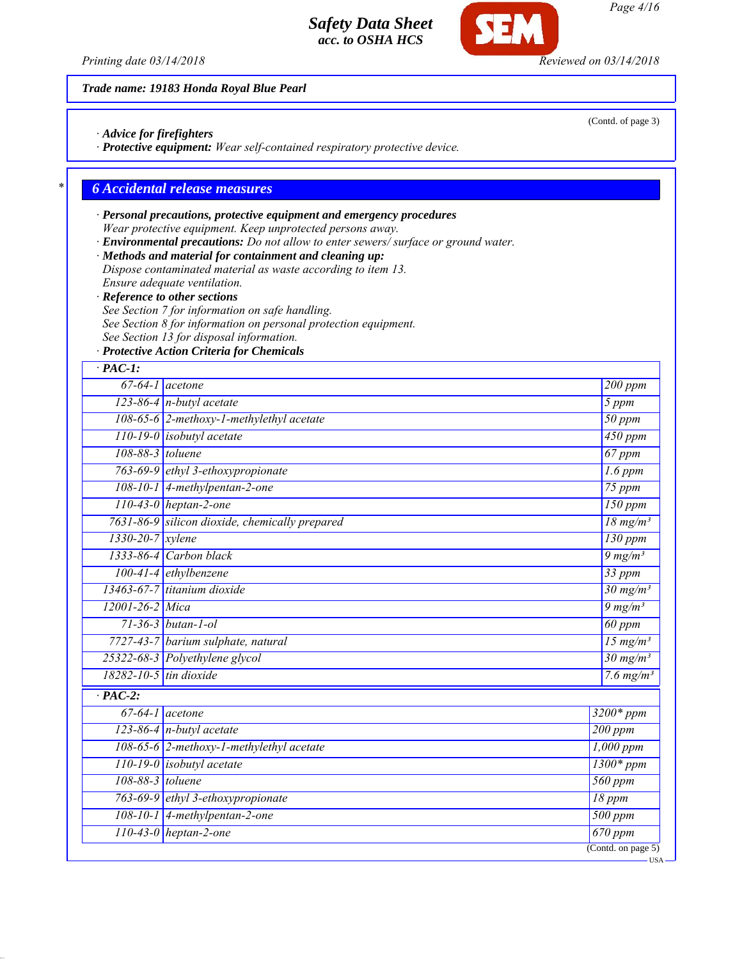

*Trade name: 19183 Honda Royal Blue Pearl*

*· Advice for firefighters*

*· Protective equipment: Wear self-contained respiratory protective device.*

## *\* 6 Accidental release measures*

## *· Personal precautions, protective equipment and emergency procedures Wear protective equipment. Keep unprotected persons away.*

*· Environmental precautions: Do not allow to enter sewers/ surface or ground water.*

*· Methods and material for containment and cleaning up:*

- *Dispose contaminated material as waste according to item 13. Ensure adequate ventilation.*
- *· Reference to other sections*
- *See Section 7 for information on safe handling.*
- *See Section 8 for information on personal protection equipment.*
- *See Section 13 for disposal information.*
- *· Protective Action Criteria for Chemicals*

| $123-86-4$ n-butyl acetate<br>108-65-6 2-methoxy-1-methylethyl acetate<br>$110-19-0$ isobutyl acetate<br>763-69-9 ethyl 3-ethoxypropionate<br>108-10-1 4-methylpentan-2-one<br>$110-43-0$ heptan-2-one<br>7631-86-9 silicon dioxide, chemically prepared<br>$1333-86-4$ Carbon black | 200 ppm<br>5 ppm<br>$50$ ppm<br>450 ppm<br>$67$ ppm<br>$1.6$ ppm<br>$75$ ppm<br>$150$ ppm<br>$18 \text{ mg/m}^3$<br>$130$ ppm                                                                                                                                 |
|--------------------------------------------------------------------------------------------------------------------------------------------------------------------------------------------------------------------------------------------------------------------------------------|---------------------------------------------------------------------------------------------------------------------------------------------------------------------------------------------------------------------------------------------------------------|
|                                                                                                                                                                                                                                                                                      |                                                                                                                                                                                                                                                               |
|                                                                                                                                                                                                                                                                                      |                                                                                                                                                                                                                                                               |
|                                                                                                                                                                                                                                                                                      |                                                                                                                                                                                                                                                               |
|                                                                                                                                                                                                                                                                                      |                                                                                                                                                                                                                                                               |
|                                                                                                                                                                                                                                                                                      |                                                                                                                                                                                                                                                               |
|                                                                                                                                                                                                                                                                                      |                                                                                                                                                                                                                                                               |
|                                                                                                                                                                                                                                                                                      |                                                                                                                                                                                                                                                               |
|                                                                                                                                                                                                                                                                                      |                                                                                                                                                                                                                                                               |
|                                                                                                                                                                                                                                                                                      |                                                                                                                                                                                                                                                               |
|                                                                                                                                                                                                                                                                                      |                                                                                                                                                                                                                                                               |
|                                                                                                                                                                                                                                                                                      | $9 \frac{mg}{m^3}$                                                                                                                                                                                                                                            |
|                                                                                                                                                                                                                                                                                      | 33 ppm                                                                                                                                                                                                                                                        |
|                                                                                                                                                                                                                                                                                      | $30 \frac{\text{mg}}{\text{m}}\text{s}$                                                                                                                                                                                                                       |
|                                                                                                                                                                                                                                                                                      | $9 \frac{mg}{m^3}$                                                                                                                                                                                                                                            |
| $71 - 36 - 3$ butan-1-ol<br>$60$ ppm                                                                                                                                                                                                                                                 |                                                                                                                                                                                                                                                               |
|                                                                                                                                                                                                                                                                                      | $15 \text{ mg/m}^3$                                                                                                                                                                                                                                           |
|                                                                                                                                                                                                                                                                                      | $\frac{30 \text{ mg}}{m^3}$                                                                                                                                                                                                                                   |
| $18282 - 10 - 5$ tin dioxide<br>$7.6 \text{ mg/m}^3$                                                                                                                                                                                                                                 |                                                                                                                                                                                                                                                               |
|                                                                                                                                                                                                                                                                                      |                                                                                                                                                                                                                                                               |
|                                                                                                                                                                                                                                                                                      | $3200*ppm$                                                                                                                                                                                                                                                    |
|                                                                                                                                                                                                                                                                                      | $200$ ppm                                                                                                                                                                                                                                                     |
| 108-65-6 2-methoxy-1-methylethyl acetate<br>$1,000$ ppm                                                                                                                                                                                                                              |                                                                                                                                                                                                                                                               |
| $1300*ppm$<br>$110-19-0$ isobutyl acetate                                                                                                                                                                                                                                            |                                                                                                                                                                                                                                                               |
|                                                                                                                                                                                                                                                                                      | $560$ ppm                                                                                                                                                                                                                                                     |
|                                                                                                                                                                                                                                                                                      | 18 ppm                                                                                                                                                                                                                                                        |
|                                                                                                                                                                                                                                                                                      | $500$ ppm                                                                                                                                                                                                                                                     |
|                                                                                                                                                                                                                                                                                      | $\overline{670}$ ppm                                                                                                                                                                                                                                          |
|                                                                                                                                                                                                                                                                                      | 100-41-4 ethylbenzene<br>$13463-67-7$ titanium dioxide<br>7727-43-7 barium sulphate, natural<br>25322-68-3 Polyethylene glycol<br>$123-86-4$ n-butyl acetate<br>763-69-9 ethyl 3-ethoxypropionate<br>108-10-1 4-methylpentan-2-one<br>$110-43-0$ heptan-2-one |

*Page 4/16*

(Contd. of page 3)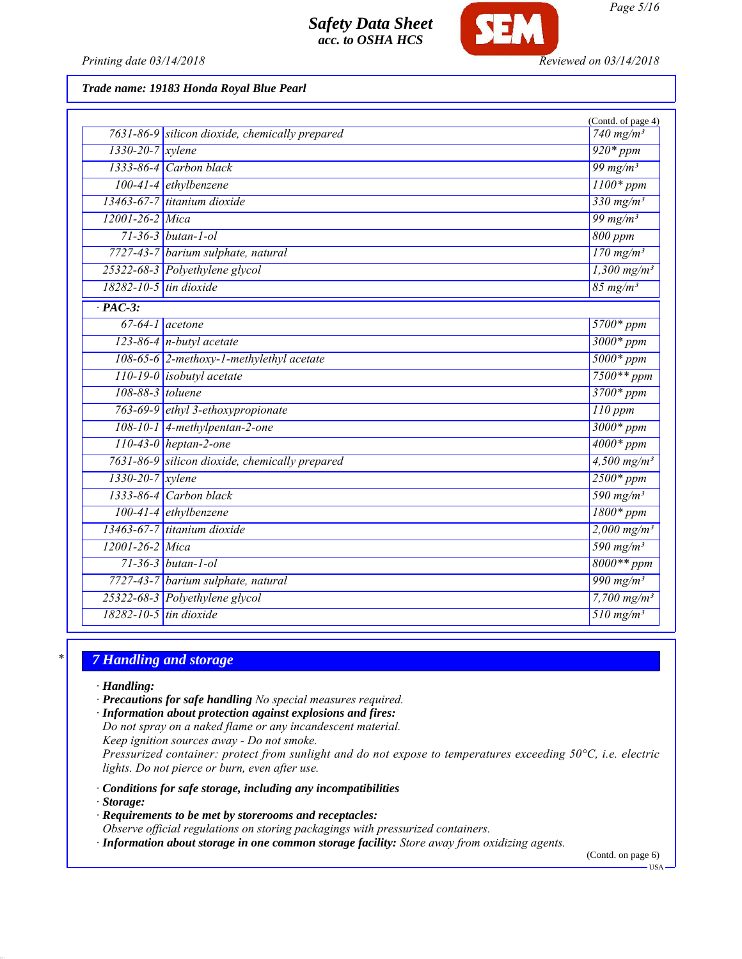

*Printing date 03/14/2018 Reviewed on 03/14/2018*

#### *Trade name: 19183 Honda Royal Blue Pearl*

|                              |                                                | (Contd. of page 4)                |
|------------------------------|------------------------------------------------|-----------------------------------|
|                              | 7631-86-9 silicon dioxide, chemically prepared | 740 mg/m <sup>3</sup>             |
| $1330-20-7$ xylene           |                                                | $920*ppm$                         |
|                              | $1333-86-4$ Carbon black                       | 99 mg/m $3$                       |
|                              | 100-41-4 ethylbenzene                          | $1100*ppm$                        |
|                              | 13463-67-7 titanium dioxide                    | $330$ mg/m <sup>3</sup>           |
| $12001 - 26 - 2$ Mica        |                                                | 99 mg/m <sup>3</sup>              |
|                              | $71 - 36 - 3$ butan-1-ol                       |                                   |
|                              | 7727-43-7 barium sulphate, natural             | $170$ mg/m <sup>3</sup>           |
|                              | 25322-68-3 Polyethylene glycol                 | $1,300$ mg/m <sup>3</sup>         |
| 18282-10-5 tin dioxide       |                                                | $85$ mg/m <sup>3</sup>            |
| $\cdot$ PAC-3:               |                                                |                                   |
|                              | $67-64-1$ acetone                              | $5700*ppm$                        |
|                              | $123-86-4$ n-butyl acetate                     | $3000*$ ppm                       |
|                              | 108-65-6 2-methoxy-1-methylethyl acetate       | $5000*$ ppm                       |
|                              | $110-19-0$ isobutyl acetate                    | $7500**$ ppm                      |
| 108-88-3 toluene             |                                                | $3700*ppm$                        |
|                              | 763-69-9 ethyl 3-ethoxypropionate              | $110$ ppm                         |
|                              | $108-10-1$ 4-methylpentan-2-one                | $3000*$ ppm                       |
|                              | $110-43-0$ heptan-2-one                        | $4000*$ ppm                       |
|                              | 7631-86-9 silicon dioxide, chemically prepared | $4,500$ mg/m <sup>3</sup>         |
| $1330 - 20 - 7$ xylene       |                                                | $2500*ppm$                        |
|                              | 1333-86-4 Carbon black                         |                                   |
|                              | $100-41-4$ ethylbenzene                        |                                   |
|                              | 13463-67-7 titanium dioxide                    | $2,000 \text{ mg/m}^3$            |
| 12001-26-2 Mica              |                                                | 590 $mg/m^3$                      |
|                              | $71 - 36 - 3$ butan-1-ol                       | $8000**$ ppm                      |
|                              | 7727-43-7 barium sulphate, natural             | 990 mg/m <sup>3</sup>             |
|                              | 25322-68-3 Polyethylene glycol                 | 7,700 $mg/m^3$                    |
| $18282 - 10 - 5$ tin dioxide |                                                | $\frac{1}{510}$ mg/m <sup>3</sup> |
|                              |                                                |                                   |

#### *\* 7 Handling and storage*

*· Handling:*

- *· Precautions for safe handling No special measures required.*
- *· Information about protection against explosions and fires:*

*Do not spray on a naked flame or any incandescent material.*

*Keep ignition sources away - Do not smoke.*

*Pressurized container: protect from sunlight and do not expose to temperatures exceeding 50°C, i.e. electric lights. Do not pierce or burn, even after use.*

- *· Conditions for safe storage, including any incompatibilities*
- *· Storage:*
- *· Requirements to be met by storerooms and receptacles:*

*Observe official regulations on storing packagings with pressurized containers.*

*· Information about storage in one common storage facility: Store away from oxidizing agents.*

(Contd. on page 6)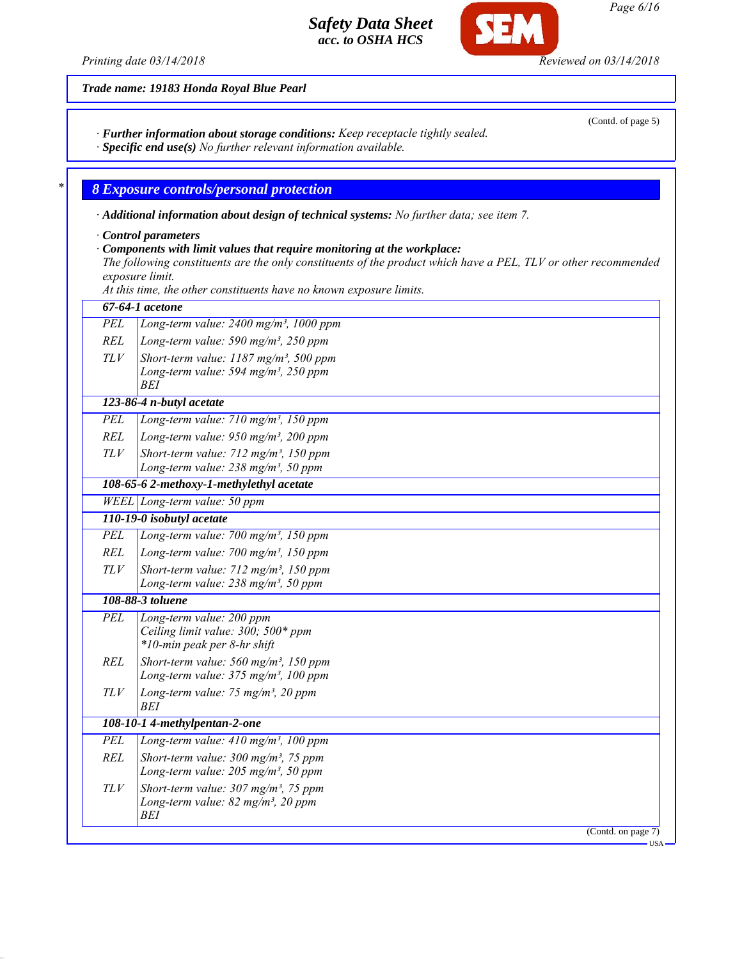*Printing date 03/14/2018 Reviewed on 03/14/2018*

**CF** 

*Trade name: 19183 Honda Royal Blue Pearl*

*· Further information about storage conditions: Keep receptacle tightly sealed.*

*· Specific end use(s) No further relevant information available.*

*\* 8 Exposure controls/personal protection*

*· Additional information about design of technical systems: No further data; see item 7.*

*· Control parameters*

*· Components with limit values that require monitoring at the workplace:*

*The following constituents are the only constituents of the product which have a PEL, TLV or other recommended exposure limit.*

*At this time, the other constituents have no known exposure limits.*

|            | 67-64-1 acetone                                                   |  |  |
|------------|-------------------------------------------------------------------|--|--|
| <b>PEL</b> | Long-term value: $2400$ mg/m <sup>3</sup> , 1000 ppm              |  |  |
| <b>REL</b> | Long-term value: $590$ mg/m <sup>3</sup> , $250$ ppm              |  |  |
| TLV        | Short-term value: $1187$ mg/m <sup>3</sup> , 500 ppm              |  |  |
|            | Long-term value: 594 mg/m <sup>3</sup> , 250 ppm                  |  |  |
|            | <b>BEI</b>                                                        |  |  |
|            | 123-86-4 n-butyl acetate                                          |  |  |
| PEL        | Long-term value: 710 mg/m <sup>3</sup> , 150 ppm                  |  |  |
| <b>REL</b> | Long-term value: 950 mg/m <sup>3</sup> , 200 ppm                  |  |  |
| <b>TLV</b> | Short-term value: $712$ mg/m <sup>3</sup> , 150 ppm               |  |  |
|            | Long-term value: $238$ mg/m <sup>3</sup> , 50 ppm                 |  |  |
|            | 108-65-6 2-methoxy-1-methylethyl acetate                          |  |  |
|            | WEEL Long-term value: 50 ppm                                      |  |  |
|            | 110-19-0 isobutyl acetate                                         |  |  |
| <b>PEL</b> | Long-term value: 700 mg/m <sup>3</sup> , 150 ppm                  |  |  |
| REL        | Long-term value: $700$ mg/m <sup>3</sup> , 150 ppm                |  |  |
| TLV        | Short-term value: $712$ mg/m <sup>3</sup> , 150 ppm               |  |  |
|            | Long-term value: $238$ mg/m <sup>3</sup> , 50 ppm                 |  |  |
|            | 108-88-3 toluene                                                  |  |  |
| PEL        | Long-term value: 200 ppm                                          |  |  |
|            | Ceiling limit value: 300; 500* ppm<br>*10-min peak per 8-hr shift |  |  |
| <b>REL</b> | Short-term value: $560$ mg/m <sup>3</sup> , 150 ppm               |  |  |
|            | Long-term value: $375$ mg/m <sup>3</sup> , 100 ppm                |  |  |
| TLV        | Long-term value: 75 mg/m <sup>3</sup> , 20 ppm                    |  |  |
|            | <b>BEI</b>                                                        |  |  |
|            | 108-10-1 4-methylpentan-2-one                                     |  |  |
| <b>PEL</b> | Long-term value: $410$ mg/m <sup>3</sup> , 100 ppm                |  |  |
| REL        | Short-term value: $300 \text{ mg/m}^3$ , 75 ppm                   |  |  |
|            | Long-term value: $205$ mg/m <sup>3</sup> , 50 ppm                 |  |  |
| TLV        | Short-term value: $307 \text{ mg/m}^3$ , 75 ppm                   |  |  |
|            | Long-term value: $82$ mg/m <sup>3</sup> , 20 ppm                  |  |  |
|            | BEI                                                               |  |  |
|            | (Cond. on page 7)                                                 |  |  |

USA

(Contd. of page 5)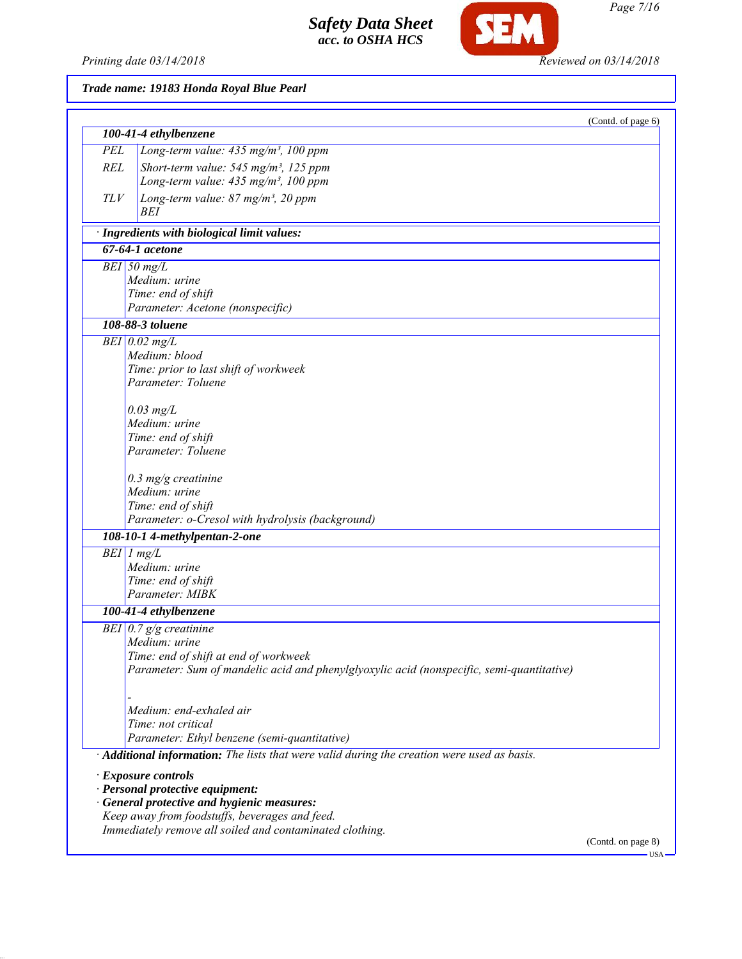*Printing date 03/14/2018 Reviewed on 03/14/2018*

**SEM** 

# *Trade name: 19183 Honda Royal Blue Pearl*

|               | 100-41-4 ethylbenzene                                                                     | (Contd. of page 6) |
|---------------|-------------------------------------------------------------------------------------------|--------------------|
| PEL           | Long-term value: $435$ mg/m <sup>3</sup> , 100 ppm                                        |                    |
| <b>REL</b>    | Short-term value: 545 mg/m <sup>3</sup> , 125 ppm                                         |                    |
|               | Long-term value: 435 mg/m <sup>3</sup> , 100 ppm                                          |                    |
| TLV           | Long-term value: 87 mg/m <sup>3</sup> , 20 ppm                                            |                    |
|               | <b>BEI</b>                                                                                |                    |
|               | · Ingredients with biological limit values:                                               |                    |
|               | $67-64-1$ acetone                                                                         |                    |
| $BEI$ 50 mg/L |                                                                                           |                    |
|               | Medium: urine                                                                             |                    |
|               | Time: end of shift                                                                        |                    |
|               | Parameter: Acetone (nonspecific)<br>108-88-3 toluene                                      |                    |
|               |                                                                                           |                    |
|               | $BEI$ 0.02 mg/L<br>Medium: blood                                                          |                    |
|               | Time: prior to last shift of workweek                                                     |                    |
|               | Parameter: Toluene                                                                        |                    |
|               |                                                                                           |                    |
|               | $0.03$ mg/L                                                                               |                    |
|               | Medium: urine                                                                             |                    |
|               | Time: end of shift                                                                        |                    |
|               | Parameter: Toluene                                                                        |                    |
|               |                                                                                           |                    |
|               | $0.3$ mg/g creatinine<br>Medium: urine                                                    |                    |
|               | Time: end of shift                                                                        |                    |
|               | Parameter: o-Cresol with hydrolysis (background)                                          |                    |
|               | 108-10-1 4-methylpentan-2-one                                                             |                    |
| $BEI$ 1 mg/L  |                                                                                           |                    |
|               | Medium: urine                                                                             |                    |
|               | Time: end of shift                                                                        |                    |
|               | Parameter: MIBK                                                                           |                    |
|               | 100-41-4 ethylbenzene                                                                     |                    |
|               | BEI $\vert 0.7 \, \mathrm{g/g}$ creatinine                                                |                    |
|               | Medium: urine<br>Time: end of shift at end of workweek                                    |                    |
|               | Parameter: Sum of mandelic acid and phenylglyoxylic acid (nonspecific, semi-quantitative) |                    |
|               |                                                                                           |                    |
|               |                                                                                           |                    |
|               | Medium: end-exhaled air                                                                   |                    |
|               | Time: not critical                                                                        |                    |
|               | Parameter: Ethyl benzene (semi-quantitative)                                              |                    |
|               | Additional information: The lists that were valid during the creation were used as basis. |                    |
|               | · Exposure controls                                                                       |                    |
|               | · Personal protective equipment:                                                          |                    |
|               | · General protective and hygienic measures:                                               |                    |
|               | Keep away from foodstuffs, beverages and feed.                                            |                    |
|               | Immediately remove all soiled and contaminated clothing.                                  |                    |
|               |                                                                                           | (Contd. on page 8) |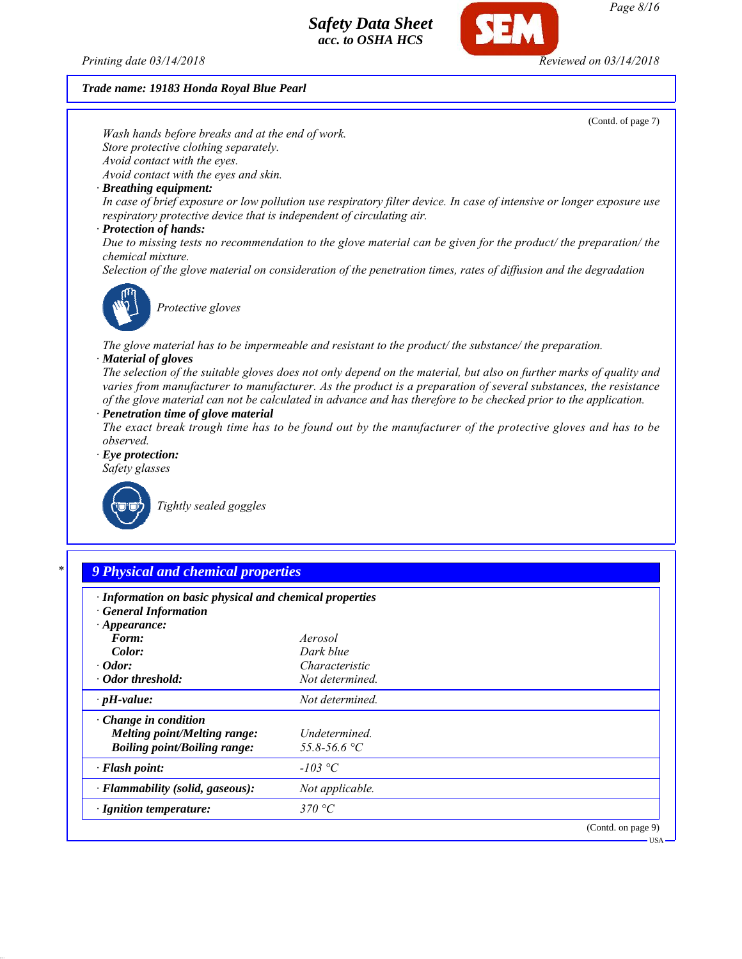*Printing date 03/14/2018 Reviewed on 03/14/2018*

*Trade name: 19183 Honda Royal Blue Pearl*

*Store protective clothing separately.*

*Wash hands before breaks and at the end of work.*



| Color:                              | Dark blue       |                    |
|-------------------------------------|-----------------|--------------------|
| $\cdot$ Odor:                       | Characteristic  |                    |
| • Odor threshold:                   | Not determined. |                    |
| $\cdot$ pH-value:                   | Not determined. |                    |
| $\cdot$ Change in condition         |                 |                    |
| Melting point/Melting range:        | Undetermined.   |                    |
| <b>Boiling point/Boiling range:</b> | 55.8-56.6 °C    |                    |
| $\cdot$ Flash point:                | $-103$ °C       |                    |
| · Flammability (solid, gaseous):    | Not applicable. |                    |
| $\cdot$ Ignition temperature:       | 370 °C          |                    |
|                                     |                 | (Contd. on page 9) |

USA

(Contd. of page 7)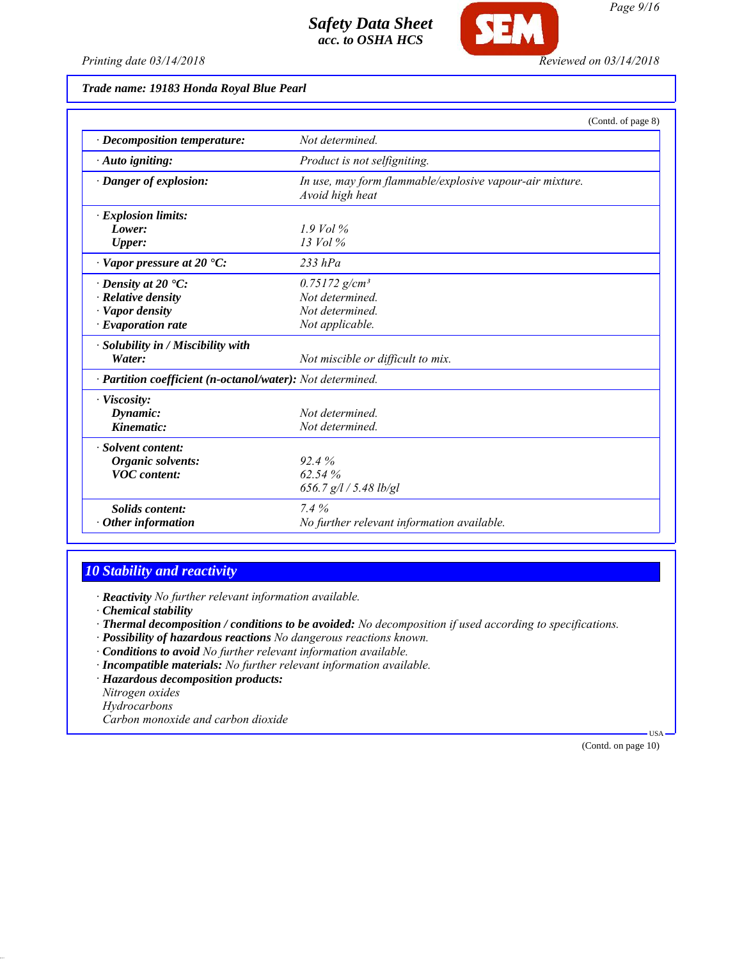

Œ

*Trade name: 19183 Honda Royal Blue Pearl*

|                                                            |                                                                             | (Contd. of page 8) |
|------------------------------------------------------------|-----------------------------------------------------------------------------|--------------------|
| $\cdot$ Decomposition temperature:                         | Not determined.                                                             |                    |
| $\cdot$ Auto igniting:                                     | Product is not selfigniting.                                                |                    |
| · Danger of explosion:                                     | In use, may form flammable/explosive vapour-air mixture.<br>Avoid high heat |                    |
| · Explosion limits:                                        |                                                                             |                    |
| Lower:                                                     | $1.9$ Vol %                                                                 |                    |
| Upper:                                                     | $13$ Vol $\%$                                                               |                    |
| $\cdot$ Vapor pressure at 20 $\cdot$ C:                    | $233$ hPa                                                                   |                    |
| $\cdot$ Density at 20 $\cdot$ C:                           | $0.75172$ g/cm <sup>3</sup>                                                 |                    |
| · Relative density                                         | Not determined.                                                             |                    |
| · Vapor density                                            | Not determined                                                              |                    |
| $\cdot$ Evaporation rate                                   | Not applicable.                                                             |                    |
| · Solubility in / Miscibility with                         |                                                                             |                    |
| Water:                                                     | Not miscible or difficult to mix.                                           |                    |
| · Partition coefficient (n-octanol/water): Not determined. |                                                                             |                    |
| · Viscosity:                                               |                                                                             |                    |
| Dynamic:                                                   | Not determined.                                                             |                    |
| Kinematic:                                                 | Not determined.                                                             |                    |
| · Solvent content:                                         |                                                                             |                    |
| Organic solvents:                                          | 92.4%                                                                       |                    |
| <b>VOC</b> content:                                        | 62.54%                                                                      |                    |
|                                                            | 656.7 $g/l / 5.48$ lb/gl                                                    |                    |
| Solids content:                                            | 7.4%                                                                        |                    |
| $\cdot$ Other information                                  | No further relevant information available.                                  |                    |

# *10 Stability and reactivity*

*· Reactivity No further relevant information available.*

*· Chemical stability*

- *· Thermal decomposition / conditions to be avoided: No decomposition if used according to specifications.*
- *· Possibility of hazardous reactions No dangerous reactions known.*
- *· Conditions to avoid No further relevant information available.*
- *· Incompatible materials: No further relevant information available.*

*· Hazardous decomposition products:*

*Nitrogen oxides*

*Hydrocarbons*

*Carbon monoxide and carbon dioxide*

(Contd. on page 10)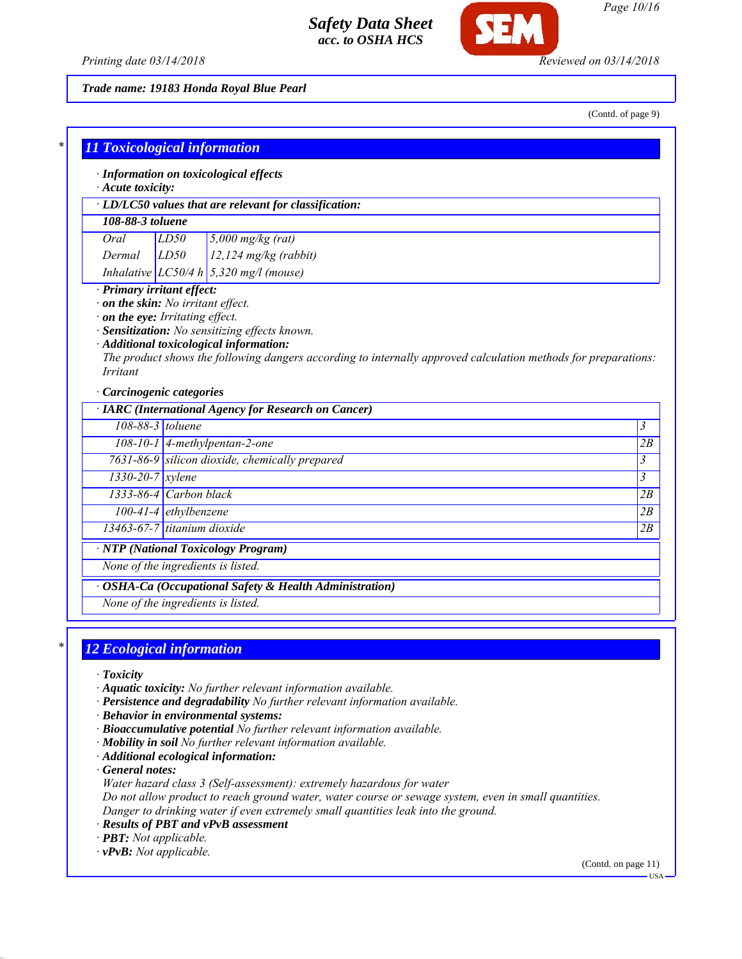

*Printing date 03/14/2018 Reviewed on 03/14/2018*

*Trade name: 19183 Honda Royal Blue Pearl*

(Contd. of page 9)

| · Information on toxicological effects                                    |                                |                                                                                                                                                                                                             |                                                     |
|---------------------------------------------------------------------------|--------------------------------|-------------------------------------------------------------------------------------------------------------------------------------------------------------------------------------------------------------|-----------------------------------------------------|
| Acute toxicity:<br>· LD/LC50 values that are relevant for classification: |                                |                                                                                                                                                                                                             |                                                     |
|                                                                           |                                |                                                                                                                                                                                                             |                                                     |
| 108-88-3 toluene                                                          |                                |                                                                                                                                                                                                             |                                                     |
| Oral                                                                      | LD50                           | $5,000$ mg/kg (rat)                                                                                                                                                                                         |                                                     |
| Dermal                                                                    | LD50                           | $12,124$ mg/kg (rabbit)                                                                                                                                                                                     |                                                     |
|                                                                           |                                | Inhalative $LC50/4 h   5,320 mg/l$ (mouse)                                                                                                                                                                  |                                                     |
|                                                                           |                                |                                                                                                                                                                                                             |                                                     |
| <i>Irritant</i><br>Carcinogenic categories                                | on the eye: Irritating effect. | · Sensitization: No sensitizing effects known.<br>· Additional toxicological information:<br>The product shows the following dangers according to internally approved calculation methods for preparations: |                                                     |
|                                                                           |                                | · IARC (International Agency for Research on Cancer)                                                                                                                                                        |                                                     |
|                                                                           | 108-88-3 toluene               |                                                                                                                                                                                                             |                                                     |
|                                                                           |                                | 108-10-1 4-methylpentan-2-one                                                                                                                                                                               |                                                     |
|                                                                           |                                | 7631-86-9 silicon dioxide, chemically prepared                                                                                                                                                              |                                                     |
| $1330 - 20 - 7$ xylene                                                    |                                |                                                                                                                                                                                                             |                                                     |
| 1333-86-4 Carbon black                                                    |                                |                                                                                                                                                                                                             |                                                     |
|                                                                           | $100-41-4$ ethylbenzene        |                                                                                                                                                                                                             | 3<br>2B<br>$\overline{\mathbf{3}}$<br>3<br>2B<br>2B |

*None of the ingredients is listed.*

*· OSHA-Ca (Occupational Safety & Health Administration)*

*None of the ingredients is listed.*

# *\* 12 Ecological information*

- *· Toxicity*
- *· Aquatic toxicity: No further relevant information available.*
- *· Persistence and degradability No further relevant information available.*
- *· Behavior in environmental systems:*
- *· Bioaccumulative potential No further relevant information available.*
- *· Mobility in soil No further relevant information available.*
- *· Additional ecological information:*

*· General notes:*

*Water hazard class 3 (Self-assessment): extremely hazardous for water*

*Do not allow product to reach ground water, water course or sewage system, even in small quantities. Danger to drinking water if even extremely small quantities leak into the ground.*

*· Results of PBT and vPvB assessment*

*· PBT: Not applicable.*

*· vPvB: Not applicable.*

(Contd. on page 11) USA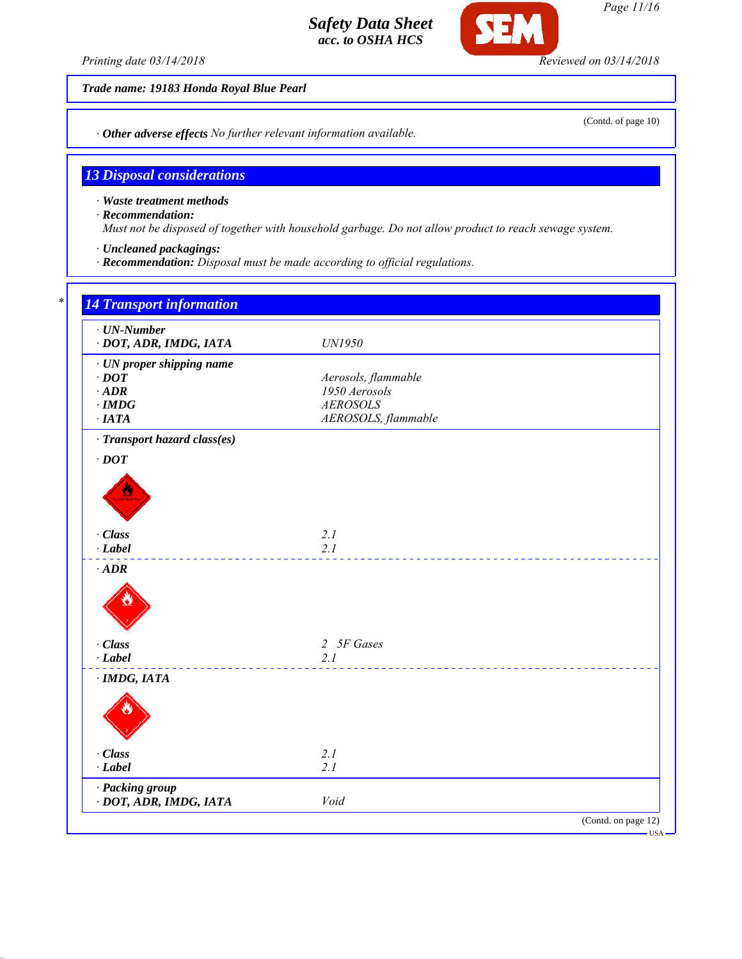*Printing date 03/14/2018 Reviewed on 03/14/2018*

SEI

*Trade name: 19183 Honda Royal Blue Pearl*

*· Other adverse effects No further relevant information available.*

# *13 Disposal considerations*

*· Waste treatment methods*

*· Recommendation:*

*Must not be disposed of together with household garbage. Do not allow product to reach sewage system.*

*· Uncleaned packagings:*

*· Recommendation: Disposal must be made according to official regulations.*

| $\cdot$ UN-Number<br>· DOT, ADR, IMDG, IATA                                             | UN1950                                                                         |
|-----------------------------------------------------------------------------------------|--------------------------------------------------------------------------------|
| · UN proper shipping name<br>$\cdot$ DOT<br>$\cdot$ ADR<br>$\cdot$ IMDG<br>$\cdot$ IATA | Aerosols, flammable<br>1950 Aerosols<br><b>AEROSOLS</b><br>AEROSOLS, flammable |
| · Transport hazard class(es)                                                            |                                                                                |
| $\cdot$ DOT                                                                             |                                                                                |
| · Class<br>$\cdot$ Label                                                                | 2.1<br>2.1                                                                     |
| $\cdot$ ADR                                                                             |                                                                                |
| · Class<br>$-Label$                                                                     | 2 5F Gases<br>2.1                                                              |
| $\cdot$ IMDG, IATA                                                                      |                                                                                |
|                                                                                         |                                                                                |
| · Class<br>$-Label$                                                                     | 2.1<br>2.1                                                                     |
| · Packing group<br>· DOT, ADR, IMDG, IATA                                               | Void                                                                           |

*Page 11/16*

(Contd. of page 10)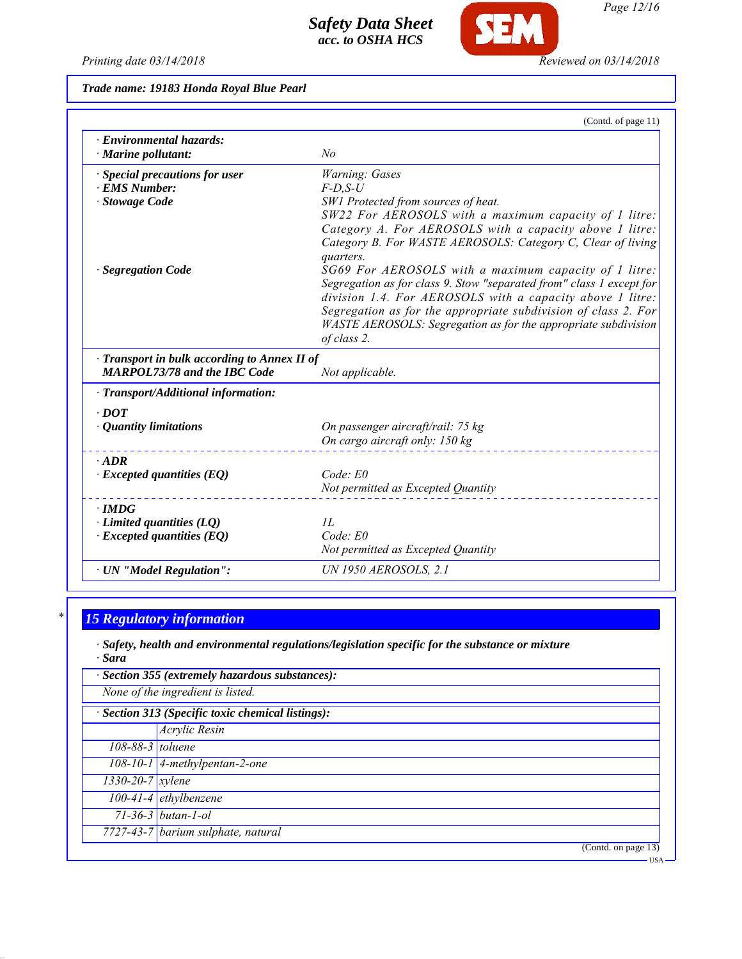*Printing date 03/14/2018 Reviewed on 03/14/2018*

**SEM** 

*Trade name: 19183 Honda Royal Blue Pearl*

|                                                 | (Contd. of page 11)                                                                                                               |
|-------------------------------------------------|-----------------------------------------------------------------------------------------------------------------------------------|
| · Environmental hazards:<br>· Marine pollutant: | No                                                                                                                                |
| · Special precautions for user                  | Warning: Gases                                                                                                                    |
| · EMS Number:                                   | $F$ -D.S-U                                                                                                                        |
| · Stowage Code                                  | SW1 Protected from sources of heat.                                                                                               |
|                                                 | SW22 For AEROSOLS with a maximum capacity of 1 litre:                                                                             |
|                                                 | Category A. For AEROSOLS with a capacity above 1 litre:                                                                           |
|                                                 | Category B. For WASTE AEROSOLS: Category C, Clear of living                                                                       |
|                                                 | quarters.                                                                                                                         |
| · Segregation Code                              | SG69 For AEROSOLS with a maximum capacity of 1 litre:                                                                             |
|                                                 | Segregation as for class 9. Stow "separated from" class 1 except for<br>division 1.4. For AEROSOLS with a capacity above 1 litre: |
|                                                 | Segregation as for the appropriate subdivision of class 2. For                                                                    |
|                                                 | WASTE AEROSOLS: Segregation as for the appropriate subdivision                                                                    |
|                                                 | of class 2.                                                                                                                       |
| · Transport in bulk according to Annex II of    |                                                                                                                                   |
| <b>MARPOL73/78 and the IBC Code</b>             | Not applicable.                                                                                                                   |
| $\cdot$ Transport/Additional information:       |                                                                                                                                   |
| $\cdot$ DOT                                     |                                                                                                                                   |
| $\cdot$ Quantity limitations                    | On passenger aircraft/rail: 75 kg                                                                                                 |
|                                                 | On cargo aircraft only: 150 kg                                                                                                    |
| $\cdot$ ADR                                     |                                                                                                                                   |
| $\cdot$ Excepted quantities (EQ)                | Code: E0                                                                                                                          |
|                                                 | Not permitted as Excepted Quantity                                                                                                |
| $\cdot$ IMDG                                    |                                                                                                                                   |
| $\cdot$ Limited quantities (LQ)                 | IL                                                                                                                                |
| $\cdot$ Excepted quantities (EQ)                | Code: E0                                                                                                                          |
|                                                 | Not permitted as Excepted Quantity                                                                                                |
| · UN "Model Regulation":                        | <b>UN 1950 AEROSOLS, 2.1</b>                                                                                                      |
|                                                 |                                                                                                                                   |

# *\* 15 Regulatory information*

*· Safety, health and environmental regulations/legislation specific for the substance or mixture · Sara*

| · Section 355 (extremely hazardous substances):   |                                       |  |
|---------------------------------------------------|---------------------------------------|--|
| None of the ingredient is listed.                 |                                       |  |
| · Section 313 (Specific toxic chemical listings): |                                       |  |
|                                                   | Acrylic Resin                         |  |
| 108-88-3 toluene                                  |                                       |  |
|                                                   | 108-10-1 $\vert$ 4-methylpentan-2-one |  |
| $1330 - 20 - 7$ xylene                            |                                       |  |
|                                                   | $100-41-4$ ethylbenzene               |  |
|                                                   | $71-36-3$ butan-1-ol                  |  |
|                                                   | 7727-43-7 barium sulphate, natural    |  |
|                                                   | (Contd. on page 13)                   |  |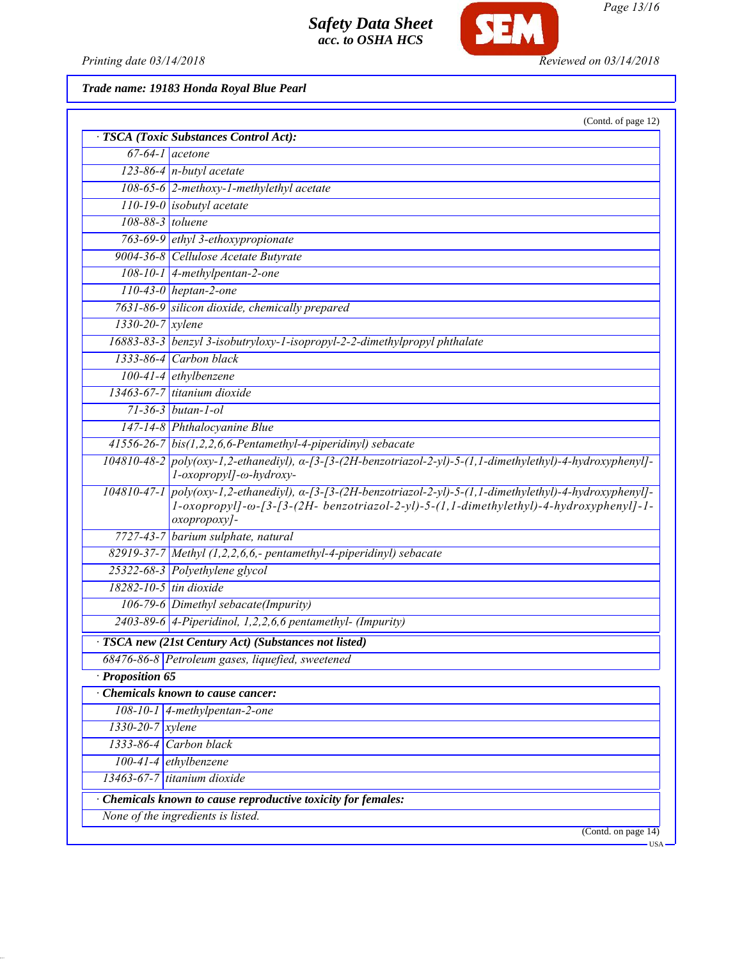

*Page 13/16*

*Printing date 03/14/2018 Reviewed on 03/14/2018*

*Trade name: 19183 Honda Royal Blue Pearl*

|                                                             | (Contd. of page 12)<br>· TSCA (Toxic Substances Control Act):                                                                                                                                                          |  |
|-------------------------------------------------------------|------------------------------------------------------------------------------------------------------------------------------------------------------------------------------------------------------------------------|--|
|                                                             | $67-64-1$ acetone                                                                                                                                                                                                      |  |
|                                                             | $123-86-4$ n-butyl acetate                                                                                                                                                                                             |  |
|                                                             | 108-65-6 2-methoxy-1-methylethyl acetate                                                                                                                                                                               |  |
|                                                             | $110-19-0$ isobutyl acetate                                                                                                                                                                                            |  |
| 108-88-3 toluene                                            |                                                                                                                                                                                                                        |  |
|                                                             | 763-69-9 ethyl 3-ethoxypropionate                                                                                                                                                                                      |  |
|                                                             | 9004-36-8 Cellulose Acetate Butyrate                                                                                                                                                                                   |  |
|                                                             | $108-10-1$ 4-methylpentan-2-one                                                                                                                                                                                        |  |
|                                                             | $110-43-0$ heptan-2-one                                                                                                                                                                                                |  |
|                                                             | 7631-86-9 silicon dioxide, chemically prepared                                                                                                                                                                         |  |
| $1330 - 20 - 7$ xylene                                      |                                                                                                                                                                                                                        |  |
|                                                             | 16883-83-3 benzyl 3-isobutryloxy-1-isopropyl-2-2-dimethylpropyl phthalate                                                                                                                                              |  |
|                                                             | $1333-86-4$ Carbon black                                                                                                                                                                                               |  |
|                                                             | $100-41-4$ ethylbenzene                                                                                                                                                                                                |  |
|                                                             | 13463-67-7 titanium dioxide                                                                                                                                                                                            |  |
|                                                             | $71 - 36 - 3$ butan-1-ol                                                                                                                                                                                               |  |
|                                                             | 147-14-8 Phthalocyanine Blue                                                                                                                                                                                           |  |
|                                                             | $\sqrt{41556-26-7}$ bis(1,2,2,6,6-Pentamethyl-4-piperidinyl) sebacate                                                                                                                                                  |  |
|                                                             | $104810-48-2$ poly(oxy-1,2-ethanediyl), $\alpha$ -[3-[3-(2H-benzotriazol-2-yl)-5-(1,1-dimethylethyl)-4-hydroxyphenyl]-<br>l-oxopropyl]-ω-hydroxy-                                                                      |  |
|                                                             | 104810-47-1 poly(oxy-1,2-ethanediyl), a-[3-[3-(2H-benzotriazol-2-yl)-5-(1,1-dimethylethyl)-4-hydroxyphenyl]-<br>1-oxopropyl]-ω-[3-[3-(2H- benzotriazol-2-yl)-5-(1,1-dimethylethyl)-4-hydroxyphenyl]-1-<br>oxopropoxy]- |  |
|                                                             | 7727-43-7 barium sulphate, natural                                                                                                                                                                                     |  |
|                                                             | 82919-37-7 Methyl $(1,2,2,6,6)$ - pentamethyl-4-piperidinyl) sebacate                                                                                                                                                  |  |
|                                                             | 25322-68-3 Polyethylene glycol                                                                                                                                                                                         |  |
| $18282 - 10 - 5$ tin dioxide                                |                                                                                                                                                                                                                        |  |
|                                                             | 106-79-6 Dimethyl sebacate(Impurity)                                                                                                                                                                                   |  |
|                                                             | $2403-89-6$ 4-Piperidinol, 1,2,2,6,6 pentamethyl- (Impurity)                                                                                                                                                           |  |
|                                                             | · TSCA new (21st Century Act) (Substances not listed)                                                                                                                                                                  |  |
|                                                             | 68476-86-8 Petroleum gases, liquefied, sweetened                                                                                                                                                                       |  |
| Proposition 65                                              |                                                                                                                                                                                                                        |  |
|                                                             | Chemicals known to cause cancer:                                                                                                                                                                                       |  |
|                                                             | $108-10-1$ 4-methylpentan-2-one                                                                                                                                                                                        |  |
| $1330 - 20 - 7$ xylene                                      |                                                                                                                                                                                                                        |  |
|                                                             | $1333-86-4$ Carbon black                                                                                                                                                                                               |  |
|                                                             | $100-41-4$ ethylbenzene                                                                                                                                                                                                |  |
|                                                             | 13463-67-7 titanium dioxide                                                                                                                                                                                            |  |
| Chemicals known to cause reproductive toxicity for females: |                                                                                                                                                                                                                        |  |
|                                                             | None of the ingredients is listed.                                                                                                                                                                                     |  |
|                                                             | (Contd. on page 14)                                                                                                                                                                                                    |  |
|                                                             | $-USA$                                                                                                                                                                                                                 |  |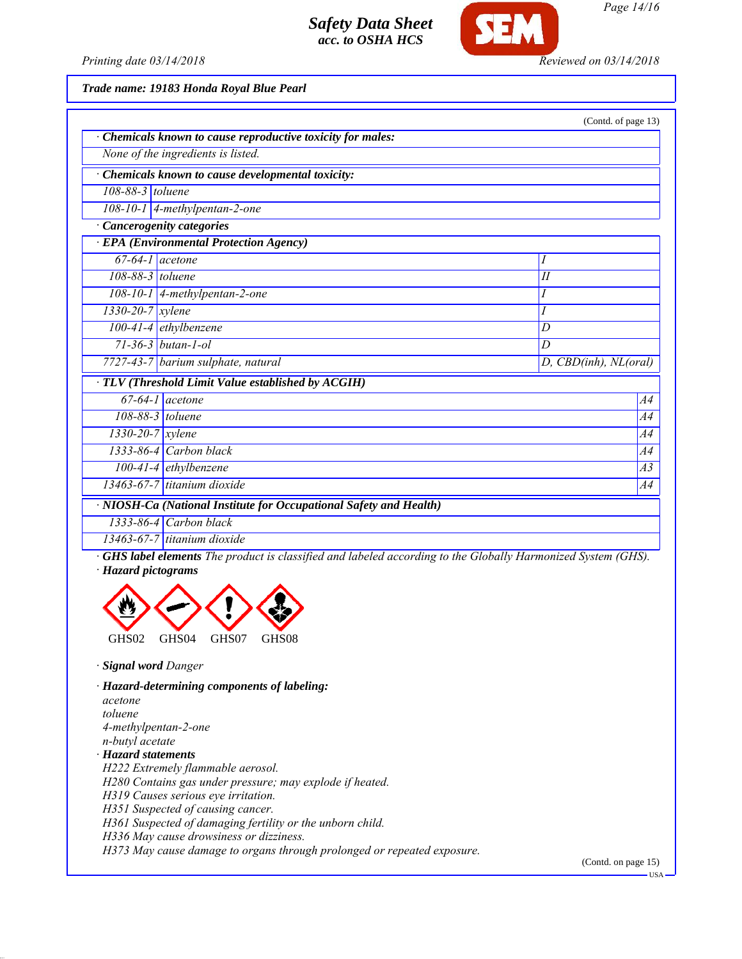

*Page 14/16*

*Printing date 03/14/2018 Reviewed on 03/14/2018*

*Trade name: 19183 Honda Royal Blue Pearl*

|                                                                    |                                    | (Contd. of page 13)   |  |  |
|--------------------------------------------------------------------|------------------------------------|-----------------------|--|--|
| Chemicals known to cause reproductive toxicity for males:          |                                    |                       |  |  |
| None of the ingredients is listed.                                 |                                    |                       |  |  |
| Chemicals known to cause developmental toxicity:                   |                                    |                       |  |  |
| 108-88-3 toluene                                                   |                                    |                       |  |  |
| $108-10-1$ 4-methylpentan-2-one                                    |                                    |                       |  |  |
| <b>Cancerogenity categories</b>                                    |                                    |                       |  |  |
| <b>EPA</b> (Environmental Protection Agency)                       |                                    |                       |  |  |
| $67-64-1$ acetone                                                  |                                    | Ι                     |  |  |
| 108-88-3 toluene                                                   |                                    | I                     |  |  |
|                                                                    | 108-10-1   4-methylpentan-2-one    | I                     |  |  |
| 1330-20-7 xylene                                                   |                                    | I                     |  |  |
|                                                                    | $100-4\overline{1-4}$ ethylbenzene | D                     |  |  |
|                                                                    | $71 - 36 - 3$ butan-1-ol           | D                     |  |  |
|                                                                    | 7727-43-7 barium sulphate, natural | D, CBD(inh), NL(oral) |  |  |
| TLV (Threshold Limit Value established by ACGIH)                   |                                    |                       |  |  |
|                                                                    | $67-64-1$ acetone                  | A4                    |  |  |
|                                                                    | 108-88-3 toluene                   | A4                    |  |  |
| $\frac{1330}{-20-7}$ xylene                                        |                                    | A4                    |  |  |
|                                                                    | $1333-86-4$ Carbon black           | A4                    |  |  |
|                                                                    | $100-41-4$ ethylbenzene            | A3                    |  |  |
|                                                                    | $13463-67-7$ titanium dioxide      | A4                    |  |  |
| · NIOSH-Ca (National Institute for Occupational Safety and Health) |                                    |                       |  |  |
|                                                                    | $1333-86-4$ Carbon black           |                       |  |  |
|                                                                    | $12462.67.7$ titanium dianida      |                       |  |  |

*13463-67-7 titanium dioxide*

*· GHS label elements The product is classified and labeled according to the Globally Harmonized System (GHS). · Hazard pictograms*



*· Signal word Danger*

*· Hazard-determining components of labeling: acetone toluene 4-methylpentan-2-one n-butyl acetate · Hazard statements H222 Extremely flammable aerosol. H280 Contains gas under pressure; may explode if heated. H319 Causes serious eye irritation. H351 Suspected of causing cancer. H361 Suspected of damaging fertility or the unborn child. H336 May cause drowsiness or dizziness.*

*H373 May cause damage to organs through prolonged or repeated exposure.*

(Contd. on page 15)

**HSA**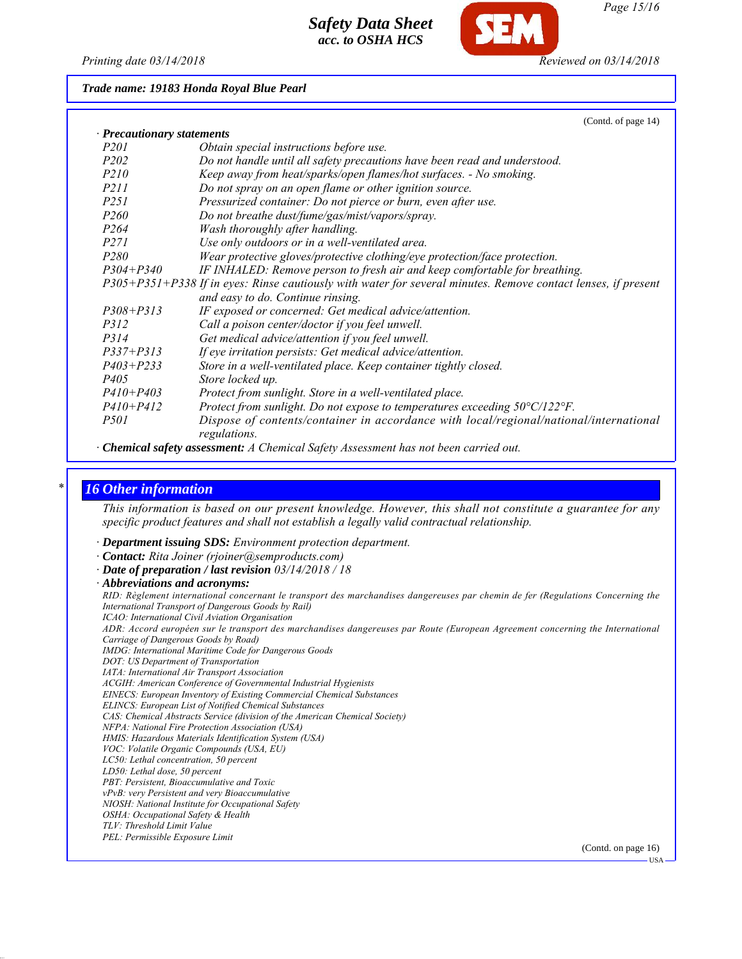

*Page 15/16*

#### *Trade name: 19183 Honda Royal Blue Pearl*

|                                                                                                               | (Contd. of page 14)                                                                                    |  |  |  |
|---------------------------------------------------------------------------------------------------------------|--------------------------------------------------------------------------------------------------------|--|--|--|
| · Precautionary statements                                                                                    |                                                                                                        |  |  |  |
| P <sub>201</sub>                                                                                              | Obtain special instructions before use.                                                                |  |  |  |
| P <sub>202</sub>                                                                                              | Do not handle until all safety precautions have been read and understood.                              |  |  |  |
| <i>P210</i>                                                                                                   | Keep away from heat/sparks/open flames/hot surfaces. - No smoking.                                     |  |  |  |
| <i>P211</i>                                                                                                   | Do not spray on an open flame or other ignition source.                                                |  |  |  |
| <i>P251</i>                                                                                                   | Pressurized container: Do not pierce or burn, even after use.                                          |  |  |  |
| <i>P260</i>                                                                                                   | Do not breathe dust/fume/gas/mist/vapors/spray.                                                        |  |  |  |
| P <sub>264</sub>                                                                                              | Wash thoroughly after handling.                                                                        |  |  |  |
| <i>P271</i>                                                                                                   | Use only outdoors or in a well-ventilated area.                                                        |  |  |  |
| P <sub>280</sub>                                                                                              | Wear protective gloves/protective clothing/eye protection/face protection.                             |  |  |  |
| $P304 + P340$                                                                                                 | IF INHALED: Remove person to fresh air and keep comfortable for breathing.                             |  |  |  |
| P305+P351+P338 If in eyes: Rinse cautiously with water for several minutes. Remove contact lenses, if present |                                                                                                        |  |  |  |
|                                                                                                               | and easy to do. Continue rinsing.                                                                      |  |  |  |
| $P308 + P313$                                                                                                 | IF exposed or concerned: Get medical advice/attention.                                                 |  |  |  |
| P312                                                                                                          | Call a poison center/doctor if you feel unwell.                                                        |  |  |  |
| P314                                                                                                          | Get medical advice/attention if you feel unwell.                                                       |  |  |  |
| $P337 + P313$                                                                                                 | If eye irritation persists: Get medical advice/attention.                                              |  |  |  |
| $P403 + P233$                                                                                                 | Store in a well-ventilated place. Keep container tightly closed.                                       |  |  |  |
| <i>P405</i>                                                                                                   | Store locked up.                                                                                       |  |  |  |
| $P410 + P403$                                                                                                 | Protect from sunlight. Store in a well-ventilated place.                                               |  |  |  |
| $P410 + P412$                                                                                                 | Protect from sunlight. Do not expose to temperatures exceeding 50°C/122°F.                             |  |  |  |
| <i>P501</i>                                                                                                   | Dispose of contents/container in accordance with local/regional/national/international<br>regulations. |  |  |  |

*· Chemical safety assessment: A Chemical Safety Assessment has not been carried out.*

#### *\* 16 Other information*

*This information is based on our present knowledge. However, this shall not constitute a guarantee for any specific product features and shall not establish a legally valid contractual relationship.*

- *· Department issuing SDS: Environment protection department.*
- *· Contact: Rita Joiner (rjoiner@semproducts.com)*
- *· Date of preparation / last revision 03/14/2018 / 18*
- *· Abbreviations and acronyms:*

*RID: Règlement international concernant le transport des marchandises dangereuses par chemin de fer (Regulations Concerning the International Transport of Dangerous Goods by Rail) ICAO: International Civil Aviation Organisation*

*ADR: Accord européen sur le transport des marchandises dangereuses par Route (European Agreement concerning the International Carriage of Dangerous Goods by Road)*

*IMDG: International Maritime Code for Dangerous Goods*

- *DOT: US Department of Transportation*
- *IATA: International Air Transport Association*

*ACGIH: American Conference of Governmental Industrial Hygienists*

- *EINECS: European Inventory of Existing Commercial Chemical Substances*
- *ELINCS: European List of Notified Chemical Substances CAS: Chemical Abstracts Service (division of the American Chemical Society)*
- 

*NFPA: National Fire Protection Association (USA)*

- *HMIS: Hazardous Materials Identification System (USA) VOC: Volatile Organic Compounds (USA, EU)*
- *LC50: Lethal concentration, 50 percent*
- *LD50: Lethal dose, 50 percent*
- *PBT: Persistent, Bioaccumulative and Toxic*
- *vPvB: very Persistent and very Bioaccumulative*
- *NIOSH: National Institute for Occupational Safety*
- *OSHA: Occupational Safety & Health*
- *TLV: Threshold Limit Value*
- *PEL: Permissible Exposure Limit*

(Contd. on page 16)

USA